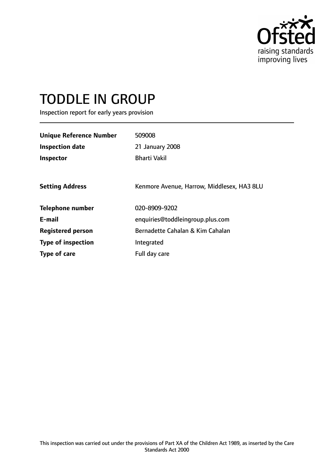

# TODDLE IN GROUP

Inspection report for early years provision

| <b>Unique Reference Number</b><br><b>Inspection date</b><br>Inspector | 509008<br>21 January 2008<br><b>Bharti Vakil</b> |
|-----------------------------------------------------------------------|--------------------------------------------------|
| <b>Setting Address</b>                                                | Kenmore Avenue, Harrow, Middlesex, HA3 8LU       |
| <b>Telephone number</b>                                               | 020-8909-9202                                    |
| E-mail                                                                | enquiries@toddleingroup.plus.com                 |
| <b>Registered person</b>                                              | Bernadette Cahalan & Kim Cahalan                 |
| <b>Type of inspection</b>                                             | Integrated                                       |
| Type of care                                                          | Full day care                                    |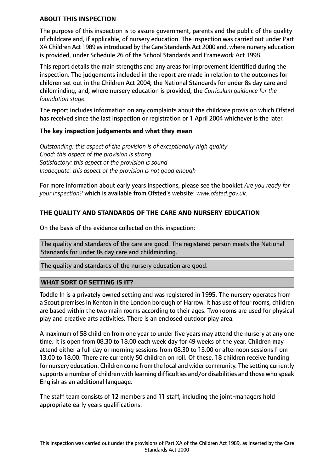#### **ABOUT THIS INSPECTION**

The purpose of this inspection is to assure government, parents and the public of the quality of childcare and, if applicable, of nursery education. The inspection was carried out under Part XA Children Act 1989 asintroduced by the Care Standards Act 2000 and, where nursery education is provided, under Schedule 26 of the School Standards and Framework Act 1998.

This report details the main strengths and any areas for improvement identified during the inspection. The judgements included in the report are made in relation to the outcomes for children set out in the Children Act 2004; the National Standards for under 8s day care and childminding; and, where nursery education is provided, the *Curriculum guidance for the foundation stage.*

The report includes information on any complaints about the childcare provision which Ofsted has received since the last inspection or registration or 1 April 2004 whichever is the later.

#### **The key inspection judgements and what they mean**

*Outstanding: this aspect of the provision is of exceptionally high quality Good: this aspect of the provision is strong Satisfactory: this aspect of the provision is sound Inadequate: this aspect of the provision is not good enough*

For more information about early years inspections, please see the booklet *Are you ready for your inspection?* which is available from Ofsted's website: *www.ofsted.gov.uk.*

## **THE QUALITY AND STANDARDS OF THE CARE AND NURSERY EDUCATION**

On the basis of the evidence collected on this inspection:

The quality and standards of the care are good. The registered person meets the National Standards for under 8s day care and childminding.

The quality and standards of the nursery education are good.

## **WHAT SORT OF SETTING IS IT?**

Toddle In is a privately owned setting and was registered in 1995. The nursery operates from a Scout premises in Kenton in the London borough of Harrow. It has use of four rooms, children are based within the two main rooms according to their ages. Two rooms are used for physical play and creative arts activities. There is an enclosed outdoor play area.

A maximum of 58 children from one year to under five years may attend the nursery at any one time. It is open from 08.30 to 18.00 each week day for 49 weeks of the year. Children may attend either a full day or morning sessions from 08.30 to 13.00 or afternoon sessions from 13.00 to 18.00. There are currently 50 children on roll. Of these, 18 children receive funding for nursery education. Children come from the local and wider community. The setting currently supports a number of children with learning difficulties and/or disabilities and those who speak English as an additional language.

The staff team consists of 12 members and 11 staff, including the joint-managers hold appropriate early years qualifications.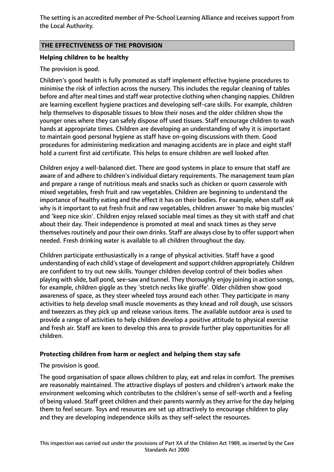The setting is an accredited member of Pre-School Learning Alliance and receives support from the Local Authority.

## **THE EFFECTIVENESS OF THE PROVISION**

## **Helping children to be healthy**

## The provision is good.

Children's good health is fully promoted as staff implement effective hygiene procedures to minimise the risk of infection across the nursery. This includes the regular cleaning of tables before and after meal times and staff wear protective clothing when changing nappies. Children are learning excellent hygiene practices and developing self-care skills. For example, children help themselves to disposable tissues to blow their noses and the older children show the younger ones where they can safely dispose off used tissues. Staff encourage children to wash hands at appropriate times. Children are developing an understanding of why it is important to maintain good personal hygiene as staff have on-going discussions with them. Good procedures for administering medication and managing accidents are in place and eight staff hold a current first aid certificate. This helps to ensure children are well looked after.

Children enjoy a well-balanced diet. There are good systems in place to ensure that staff are aware of and adhere to children's individual dietary requirements. The management team plan and prepare a range of nutritious meals and snacks such as chicken or quorn casserole with mixed vegetables, fresh fruit and raw vegetables. Children are beginning to understand the importance of healthy eating and the effect it has on their bodies. For example, when staff ask why is it important to eat fresh fruit and raw vegetables, children answer 'to make big muscles' and 'keep nice skin'. Children enjoy relaxed sociable meal times as they sit with staff and chat about their day. Their independence is promoted at meal and snack times as they serve themselves routinely and pour their own drinks. Staff are always close by to offer support when needed. Fresh drinking water is available to all children throughout the day.

Children participate enthusiastically in a range of physical activities. Staff have a good understanding of each child's stage of development and support children appropriately. Children are confident to try out new skills. Younger children develop control of their bodies when playing with slide, ball pond, see-saw and tunnel. They thoroughly enjoy joining in action songs, for example, children giggle as they 'stretch necks like giraffe'. Older children show good awareness of space, as they steer wheeled toys around each other. They participate in many activities to help develop small muscle movements as they knead and roll dough, use scissors and tweezers as they pick up and release various items. The available outdoor area is used to provide a range of activities to help children develop a positive attitude to physical exercise and fresh air. Staff are keen to develop this area to provide further play opportunities for all children.

## **Protecting children from harm or neglect and helping them stay safe**

The provision is good.

The good organisation of space allows children to play, eat and relax in comfort. The premises are reasonably maintained. The attractive displays of posters and children's artwork make the environment welcoming which contributes to the children's sense of self-worth and a feeling of being valued. Staff greet children and their parents warmly as they arrive for the day helping them to feel secure. Toys and resources are set up attractively to encourage children to play and they are developing independence skills as they self-select the resources.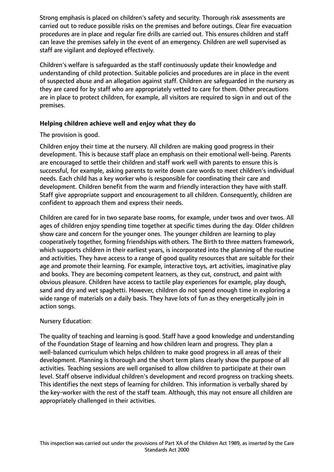Strong emphasis is placed on children's safety and security. Thorough risk assessments are carried out to reduce possible risks on the premises and before outings. Clear fire evacuation procedures are in place and regular fire drills are carried out. This ensures children and staff can leave the premises safely in the event of an emergency. Children are well supervised as staff are vigilant and deployed effectively.

Children's welfare is safeguarded as the staff continuously update their knowledge and understanding of child protection. Suitable policies and procedures are in place in the event of suspected abuse and an allegation against staff. Children are safeguarded in the nursery as they are cared for by staff who are appropriately vetted to care for them. Other precautions are in place to protect children, for example, all visitors are required to sign in and out of the premises.

## **Helping children achieve well and enjoy what they do**

## The provision is good.

Children enjoy their time at the nursery. All children are making good progress in their development. This is because staff place an emphasis on their emotional well-being. Parents are encouraged to settle their children and staff work well with parents to ensure this is successful, for example, asking parents to write down care words to meet children's individual needs. Each child has a key worker who is responsible for coordinating their care and development. Children benefit from the warm and friendly interaction they have with staff. Staff give appropriate support and encouragement to all children. Consequently, children are confident to approach them and express their needs.

Children are cared for in two separate base rooms, for example, under twos and over twos. All ages of children enjoy spending time together at specific times during the day. Older children show care and concern for the younger ones. The younger children are learning to play cooperatively together, forming friendships with others. The Birth to three matters framework, which supports children in their earliest years, is incorporated into the planning of the routine and activities. They have access to a range of good quality resources that are suitable for their age and promote their learning. For example, interactive toys, art activities, imaginative play and books. They are becoming competent learners, as they cut, construct, and paint with obvious pleasure. Children have access to tactile play experiences for example, play dough, sand and dry and wet spaghetti. However, children do not spend enough time in exploring a wide range of materials on a daily basis. They have lots of fun as they energetically join in action songs.

# Nursery Education:

The quality of teaching and learning is good. Staff have a good knowledge and understanding of the Foundation Stage of learning and how children learn and progress. They plan a well-balanced curriculum which helps children to make good progress in all areas of their development. Planning is thorough and the short term plans clearly show the purpose of all activities. Teaching sessions are well organised to allow children to participate at their own level. Staff observe individual children's development and record progress on tracking sheets. This identifies the next steps of learning for children. This information is verbally shared by the key-worker with the rest of the staff team. Although, this may not ensure all children are appropriately challenged in their activities.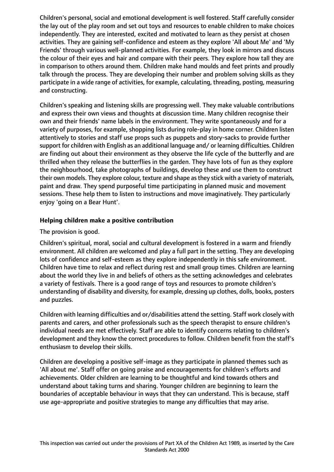Children's personal, social and emotional development is well fostered. Staff carefully consider the lay out of the play room and set out toys and resources to enable children to make choices independently. They are interested, excited and motivated to learn as they persist at chosen activities. They are gaining self-confidence and esteem as they explore 'All about Me' and 'My Friends' through various well-planned activities. For example, they look in mirrors and discuss the colour of their eyes and hair and compare with their peers. They explore how tall they are in comparison to others around them. Children make hand moulds and feet prints and proudly talk through the process. They are developing their number and problem solving skills as they participate in a wide range of activities, for example, calculating, threading, posting, measuring and constructing.

Children's speaking and listening skills are progressing well. They make valuable contributions and express their own views and thoughts at discussion time. Many children recognise their own and their friends' name labels in the environment. They write spontaneously and for a variety of purposes, for example, shopping lists during role-play in home corner. Children listen attentively to stories and staff use props such as puppets and story-sacks to provide further support for children with English as an additional language and/ or learning difficulties. Children are finding out about their environment as they observe the life cycle of the butterfly and are thrilled when they release the butterflies in the garden. They have lots of fun as they explore the neighbourhood, take photographs of buildings, develop these and use them to construct their own models. They explore colour, texture and shape as they stick with a variety of materials, paint and draw. They spend purposeful time participating in planned music and movement sessions. These help them to listen to instructions and move imaginatively. They particularly enjoy 'going on a Bear Hunt'.

## **Helping children make a positive contribution**

## The provision is good.

Children's spiritual, moral, social and cultural development is fostered in a warm and friendly environment. All children are welcomed and play a full part in the setting. They are developing lots of confidence and self-esteem as they explore independently in this safe environment. Children have time to relax and reflect during rest and small group times. Children are learning about the world they live in and beliefs of others as the setting acknowledges and celebrates a variety of festivals. There is a good range of toys and resources to promote children's understanding of disability and diversity, for example, dressing up clothes, dolls, books, posters and puzzles.

Children with learning difficulties and or/disabilities attend the setting. Staff work closely with parents and carers, and other professionals such as the speech therapist to ensure children's individual needs are met effectively. Staff are able to identify concerns relating to children's development and they know the correct procedures to follow. Children benefit from the staff's enthusiasm to develop their skills.

Children are developing a positive self-image as they participate in planned themes such as 'All about me'. Staff offer on going praise and encouragements for children's efforts and achievements. Older children are learning to be thoughtful and kind towards others and understand about taking turns and sharing. Younger children are beginning to learn the boundaries of acceptable behaviour in ways that they can understand. This is because, staff use age-appropriate and positive strategies to mange any difficulties that may arise.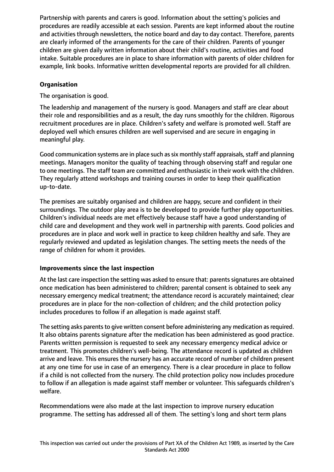Partnership with parents and carers is good. Information about the setting's policies and procedures are readily accessible at each session. Parents are kept informed about the routine and activities through newsletters, the notice board and day to day contact. Therefore, parents are clearly informed of the arrangements for the care of their children. Parents of younger children are given daily written information about their child's routine, activities and food intake. Suitable procedures are in place to share information with parents of older children for example, link books. Informative written developmental reports are provided for all children.

## **Organisation**

The organisation is good.

The leadership and management of the nursery is good. Managers and staff are clear about their role and responsibilities and as a result, the day runs smoothly for the children. Rigorous recruitment procedures are in place. Children's safety and welfare is promoted well. Staff are deployed well which ensures children are well supervised and are secure in engaging in meaningful play.

Good communication systems are in place such as six monthly staff appraisals, staff and planning meetings. Managers monitor the quality of teaching through observing staff and regular one to one meetings. The staff team are committed and enthusiastic in their work with the children. They regularly attend workshops and training courses in order to keep their qualification up-to-date.

The premises are suitably organised and children are happy, secure and confident in their surroundings. The outdoor play area is to be developed to provide further play opportunities. Children's individual needs are met effectively because staff have a good understanding of child care and development and they work well in partnership with parents. Good policies and procedures are in place and work well in practice to keep children healthy and safe. They are regularly reviewed and updated as legislation changes. The setting meets the needs of the range of children for whom it provides.

## **Improvements since the last inspection**

At the last care inspection the setting was asked to ensure that: parents signatures are obtained once medication has been administered to children; parental consent is obtained to seek any necessary emergency medical treatment; the attendance record is accurately maintained; clear procedures are in place for the non-collection of children; and the child protection policy includes procedures to follow if an allegation is made against staff.

The setting asks parents to give written consent before administering any medication as required. It also obtains parents signature after the medication has been administered as good practice. Parents written permission is requested to seek any necessary emergency medical advice or treatment. This promotes children's well-being. The attendance record is updated as children arrive and leave. This ensures the nursery has an accurate record of number of children present at any one time for use in case of an emergency. There is a clear procedure in place to follow if a child is not collected from the nursery. The child protection policy now includes procedure to follow if an allegation is made against staff member or volunteer. This safeguards children's welfare.

Recommendations were also made at the last inspection to improve nursery education programme. The setting has addressed all of them. The setting's long and short term plans